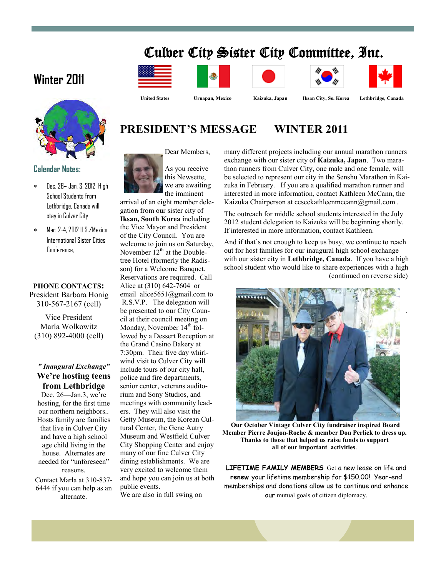# Culver City Sister City Committee, Inc.

# **Winter 2011**



#### **Calendar Notes:**

- Dec. 26– Jan. 3, 2012 High School Students from Lethbridge, Canada will stay in Culver City
- Mar. 2-4, 2012 U.S./Mexico International Sister Cities Conference,

#### **PHONE CONTACTS:** President Barbara Honig 310-567-2167 (cell)

Vice President Marla Wolkowitz (310) 892-4000 (cell)

### *" Inaugural Exchange"*  **We're hosting teens from Lethbridge**

Dec. 26—Jan.3, we're hosting, for the first time our northern neighbors.. Hosts family are families that live in Culver City and have a high school age child living in the house. Alternates are needed for "unforeseen" reasons. Contact Marla at 310-837- 6444 if you can help as an

alternate.













 **United States Uruapan, Mexico Kaizuka, Japan Iksan City, So. Korea Lethbridge, Canada**

.

# **PRESIDENT'S MESSAGE WINTER 2011**

Dear Members,



arrival of an eight member delegation from our sister city of **Iksan, South Korea** including the Vice Mayor and President of the City Council. You are welcome to join us on Saturday, November  $12<sup>th</sup>$  at the Doubletree Hotel (formerly the Radisson) for a Welcome Banquet. Reservations are required. Call Alice at (310) 642-7604 or email alice5651@gmail.com to R.S.V.P. The delegation will be presented to our City Council at their council meeting on Monday, November 14<sup>th</sup> followed by a Dessert Reception at the Grand Casino Bakery at 7:30pm. Their five day whirlwind visit to Culver City will include tours of our city hall, police and fire departments, senior center, veterans auditorium and Sony Studios, and meetings with community leaders. They will also visit the Getty Museum, the Korean Cultural Center, the Gene Autry Museum and Westfield Culver City Shopping Center and enjoy many of our fine Culver City dining establishments. We are very excited to welcome them and hope you can join us at both public events. We are also in full swing on

many different projects including our annual marathon runners exchange with our sister city of **Kaizuka, Japan**. Two marathon runners from Culver City, one male and one female, will be selected to represent our city in the Senshu Marathon in Kaizuka in February. If you are a qualified marathon runner and interested in more information, contact Kathleen McCann, the Kaizuka Chairperson at ccscckathleenmccann@gmail.com.

The outreach for middle school students interested in the July 2012 student delegation to Kaizuka will be beginning shortly. If interested in more information, contact Kathleen.

And if that's not enough to keep us busy, we continue to reach out for host families for our inaugural high school exchange with our sister city in **Lethbridge, Canada**. If you have a high school student who would like to share experiences with a high (continued on reverse side)



**Our October Vintage Culver City fundraiser inspired Board Member Pierre Joujon-Roche & member Don Perlick to dress up. Thanks to those that helped us raise funds to support all of our important activities**.

**LIFETIME FAMILY MEMBERS** Get a new lease on life and **renew** your lifetime membership for \$150.00! Year-end memberships and donations allow us to continue and enhance our mutual goals of citizen diplomacy.